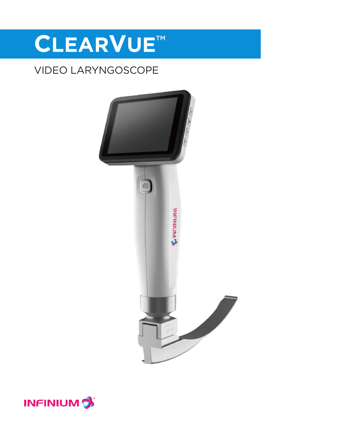# CLEARVUE™

## VIDEO LARYNGOSCOPE



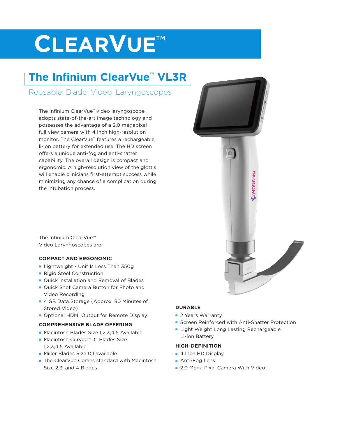# **CLEARVUE™**

## **The Infinium ClearVue™ VL3R**

### Reusable Blade Video Laryngoscopes

The Infinium ClearVue™ video laryngoscope adopts state-of-the-art image technology and possesses the advantage of a 2.0 megapixel full view camera with 4 inch high-resolution monitor. The ClearVue™ features a rechargeable li-ion battery for extended use. The HD screen offers a unique anti-fog and anti-shatter capability. The overall design is compact and ergonomic. A high-resolution view of the glottis will enable clinicians first-attempt success while minimizing any chance of a complication during the intubation process.

**INFINITIVA** 

The Infinium ClearVue™ Video Laryngoscopes are:

#### **COMPACT AND ERGONOMIC**

- **E** Lightweight Unit Is Less Than 350g
- **Rigid Steel Construction**
- **n** Quick installation and Removal of Blades
- **n** Quick Shot Camera Button for Photo and Video Recording
- 4 GB Data Storage (Approx. 80 Minutes of Stored Video)
- **Optional HDMI Output for Remote Display**

#### **COMPREHENSIVE BLADE OFFERING**

- Macintosh Blades Size 1,2,3,4,5 Available
- Macintosh Curved "D" Blades Size 1,2,3,4,5 Available
- **n** Miller Blades Size 0,1 available
- The ClearVue Comes standard with Macintosh Size 2,3, and 4 Blades

#### **DURABLE**

- 2 Years Warranty
- **Exercen Reinforced with Anti-Shatter Protection**
- **Example 1** Light Weight Long Lasting Rechargeable Li-ion Battery

#### **HIGH-DEFINITION**

- 4 Inch HD Display
- Anti-Fog Lens
- 2.0 Mega Pixel Camera With Video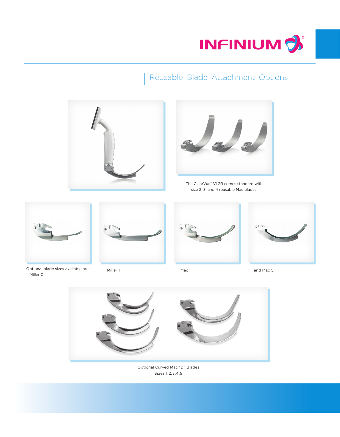

### Reusable Blade Attachment Options





The ClearVue™ VL3R comes standard with size 2, 3, and 4 reusable Mac blades.



Optional blade sizes available are: Miller 0



Miller 1 and Mac 1 and Mac 5.







Optional Curved Mac "D" Blades Sizes 1,2,3,4,5